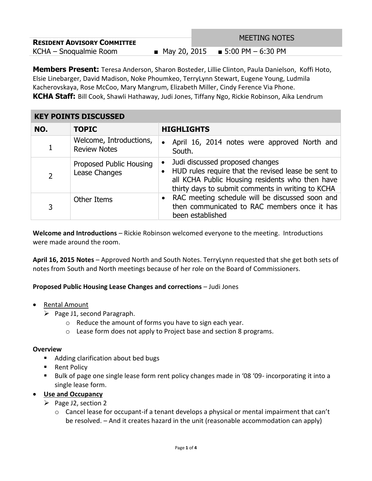|                                    | <b>MEETING NOTES</b>                |
|------------------------------------|-------------------------------------|
| <b>RESIDENT ADVISORY COMMITTEE</b> |                                     |
| KCHA – Snogualmie Room             | ■ May 20, 2015 ■ 5:00 PM $-6:30$ PM |

**Members Present:** Teresa Anderson, Sharon Bosteder, Lillie Clinton, Paula Danielson, Koffi Hoto, Elsie Linebarger, David Madison, Noke Phoumkeo, TerryLynn Stewart, Eugene Young, Ludmila Kacherovskaya, Rose McCoo, Mary Mangrum, Elizabeth Miller, Cindy Ference Via Phone. **KCHA Staff:** Bill Cook, Shawli Hathaway, Judi Jones, Tiffany Ngo, Rickie Robinson, Aika Lendrum

#### **KEY POINTS DISCUSSED NO. TOPIC HIGHLIGHTS** 1 Welcome, Introductions, Review Notes • April 16, 2014 notes were approved North and South. 2 Proposed Public Housing Lease Changes • Judi discussed proposed changes HUD rules require that the revised lease be sent to all KCHA Public Housing residents who then have thirty days to submit comments in writing to KCHA 3 Other Items **Calcul CELC** RAC meeting schedule will be discussed soon and then communicated to RAC members once it has been established

**Welcome and Introductions** – Rickie Robinson welcomed everyone to the meeting. Introductions were made around the room.

**April 16, 2015 Notes** – Approved North and South Notes. TerryLynn requested that she get both sets of notes from South and North meetings because of her role on the Board of Commissioners.

### **Proposed Public Housing Lease Changes and corrections** – Judi Jones

- Rental Amount
	- $\triangleright$  Page J1, second Paragraph.
		- o Reduce the amount of forms you have to sign each year.
		- o Lease form does not apply to Project base and section 8 programs.

### **Overview**

- Adding clarification about bed bugs
- Rent Policy
- Bulk of page one single lease form rent policy changes made in '08 '09- incorporating it into a single lease form.

### **Use and Occupancy**

- $\triangleright$  Page J2, section 2
	- $\circ$  Cancel lease for occupant-if a tenant develops a physical or mental impairment that can't be resolved. – And it creates hazard in the unit (reasonable accommodation can apply)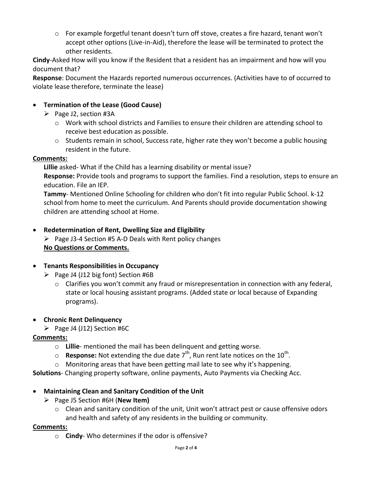$\circ$  For example forgetful tenant doesn't turn off stove, creates a fire hazard, tenant won't accept other options (Live-in-Aid), therefore the lease will be terminated to protect the other residents.

**Cindy**-Asked How will you know if the Resident that a resident has an impairment and how will you document that?

**Response**: Document the Hazards reported numerous occurrences. (Activities have to of occurred to violate lease therefore, terminate the lease)

### **Termination of the Lease (Good Cause)**

- $\triangleright$  Page J2, section #3A
	- o Work with school districts and Families to ensure their children are attending school to receive best education as possible.
	- $\circ$  Students remain in school, Success rate, higher rate they won't become a public housing resident in the future.

### **Comments:**

**Lillie** asked- What if the Child has a learning disability or mental issue? **Response:** Provide tools and programs to support the families. Find a resolution, steps to ensure an education. File an IEP.

**Tammy**- Mentioned Online Schooling for children who don't fit into regular Public School. k-12 school from home to meet the curriculum. And Parents should provide documentation showing children are attending school at Home.

# **Redetermination of Rent, Dwelling Size and Eligibility**

 $\triangleright$  Page J3-4 Section #5 A-D Deals with Rent policy changes **No Questions or Comments.**

## **Tenants Responsibilities in Occupancy**

- $\triangleright$  Page J4 (J12 big font) Section #6B
	- o Clarifies you won't commit any fraud or misrepresentation in connection with any federal, state or local housing assistant programs. (Added state or local because of Expanding programs).

### **Chronic Rent Delinquency**

 $\triangleright$  Page J4 (J12) Section #6C

### **Comments:**

- o **Lillie** mentioned the mail has been delinquent and getting worse.
- $\circ$  **Response:** Not extending the due date 7<sup>th</sup>, Run rent late notices on the 10<sup>th</sup>.
- o Monitoring areas that have been getting mail late to see why it's happening.

**Solutions**- Changing property software, online payments, Auto Payments via Checking Acc.

### **Maintaining Clean and Sanitary Condition of the Unit**

- Page J5 Section #6H (**New Item)**
	- o Clean and sanitary condition of the unit, Unit won't attract pest or cause offensive odors and health and safety of any residents in the building or community.

### **Comments:**

o **Cindy**- Who determines if the odor is offensive?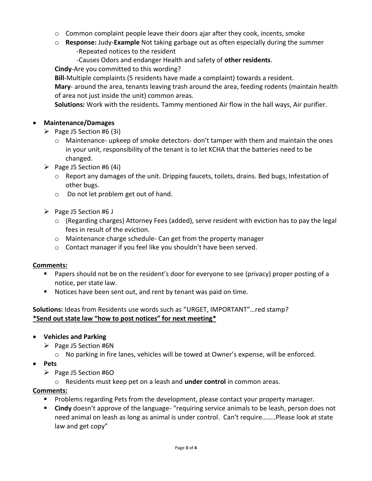- $\circ$  Common complaint people leave their doors ajar after they cook, incents, smoke
- o **Response:** Judy-**Example** Not taking garbage out as often especially during the summer -Repeated notices to the resident
	- -Causes Odors and endanger Health and safety of **other residents**.

**Cindy**-Are you committed to this wording?

**Bill**-Multiple complaints (5 residents have made a complaint) towards a resident.

**Mary**- around the area, tenants leaving trash around the area, feeding rodents (maintain health of area not just inside the unit) common areas.

**Solutions:** Work with the residents. Tammy mentioned Air flow in the hall ways, Air purifier.

### **Maintenance/Damages**

- $\triangleright$  Page J5 Section #6 (3i)
	- $\circ$  Maintenance- upkeep of smoke detectors-don't tamper with them and maintain the ones in your unit, responsibility of the tenant is to let KCHA that the batteries need to be changed.
- $\triangleright$  Page J5 Section #6 (4i)
	- $\circ$  Report any damages of the unit. Dripping faucets, toilets, drains. Bed bugs, Infestation of other bugs.
	- o Do not let problem get out of hand.
- $\triangleright$  Page J5 Section #6 J
	- $\circ$  (Regarding charges) Attorney Fees (added), serve resident with eviction has to pay the legal fees in result of the eviction.
	- o Maintenance charge schedule- Can get from the property manager
	- o Contact manager if you feel like you shouldn't have been served.

### **Comments:**

- Papers should not be on the resident's door for everyone to see (privacy) proper posting of a notice, per state law.
- Notices have been sent out, and rent by tenant was paid on time.

### **Solutions:** Ideas from Residents use words such as "URGET, IMPORTANT"…red stamp? **\*Send out state law "how to post notices" for next meeting\***

- **Vehicles and Parking**
	- $\triangleright$  Page J5 Section #6N
		- $\circ$  No parking in fire lanes, vehicles will be towed at Owner's expense, will be enforced.
- **Pets**
	- $\triangleright$  Page J5 Section #60
		- o Residents must keep pet on a leash and **under control** in common areas.

### **Comments:**

- **Problems regarding Pets from the development, please contact your property manager.**
- **Cindy** doesn't approve of the language- "requiring service animals to be leash, person does not need animal on leash as long as animal is under control. Can't require……..Please look at state law and get copy"